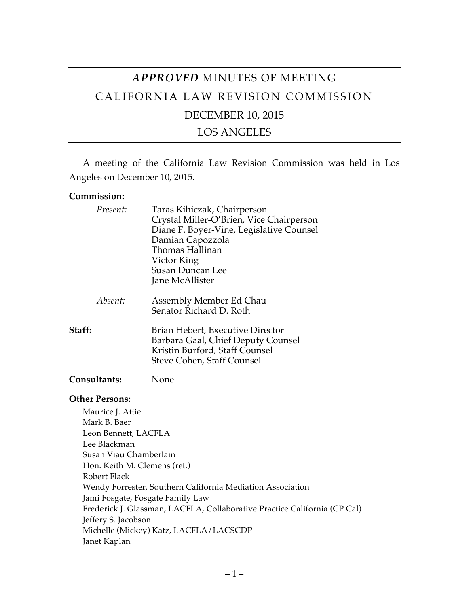# *APPROVED* MINUTES OF MEETING CALIFORNIA LAW REVISION COMMISSION DECEMBER 10, 2015

### LOS ANGELES

A meeting of the California Law Revision Commission was held in Los Angeles on December 10, 2015.

#### **Commission:**

| Present:                         | Taras Kihiczak, Chairperson<br>Crystal Miller-O'Brien, Vice Chairperson<br>Diane F. Boyer-Vine, Legislative Counsel<br>Damian Capozzola<br>Thomas Hallinan<br>Victor King<br><b>Susan Duncan Lee</b><br>Jane McAllister |
|----------------------------------|-------------------------------------------------------------------------------------------------------------------------------------------------------------------------------------------------------------------------|
| Absent:                          | Assembly Member Ed Chau<br>Senator Richard D. Roth                                                                                                                                                                      |
| Staff:                           | Brian Hebert, Executive Director<br>Barbara Gaal, Chief Deputy Counsel<br>Kristin Burford, Staff Counsel<br>Steve Cohen, Staff Counsel                                                                                  |
| <b>Consultants:</b>              | None                                                                                                                                                                                                                    |
| <b>Other Persons:</b>            |                                                                                                                                                                                                                         |
| Maurice J. Attie<br>Mark B. Baer |                                                                                                                                                                                                                         |
| Leon Bennett, LACFLA             |                                                                                                                                                                                                                         |
| Lee Blackman                     |                                                                                                                                                                                                                         |
| Susan Viau Chamberlain           |                                                                                                                                                                                                                         |
| Hon. Keith M. Clemens (ret.)     |                                                                                                                                                                                                                         |
| Robert Flack                     |                                                                                                                                                                                                                         |
|                                  | Wendy Forrester, Southern California Mediation Association                                                                                                                                                              |
|                                  | Jami Fosgate, Fosgate Family Law                                                                                                                                                                                        |
|                                  | Frederick J. Glassman, LACFLA, Collaborative Practice California (CP Cal)                                                                                                                                               |
| Jeffery S. Jacobson              |                                                                                                                                                                                                                         |
|                                  | Michelle (Mickey) Katz, LACFLA/LACSCDP                                                                                                                                                                                  |
| Janet Kaplan                     |                                                                                                                                                                                                                         |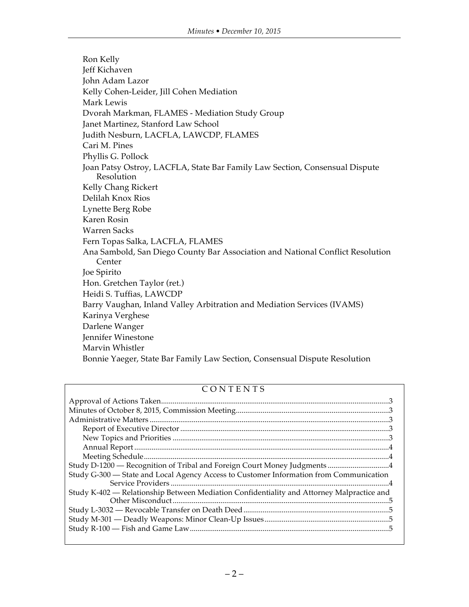Ron Kelly Jeff Kichaven John Adam Lazor Kelly Cohen-Leider, Jill Cohen Mediation Mark Lewis Dvorah Markman, FLAMES - Mediation Study Group Janet Martinez, Stanford Law School Judith Nesburn, LACFLA, LAWCDP, FLAMES Cari M. Pines Phyllis G. Pollock Joan Patsy Ostroy, LACFLA, State Bar Family Law Section, Consensual Dispute Resolution Kelly Chang Rickert Delilah Knox Rios Lynette Berg Robe Karen Rosin Warren Sacks Fern Topas Salka, LACFLA, FLAMES Ana Sambold, San Diego County Bar Association and National Conflict Resolution Center Joe Spirito Hon. Gretchen Taylor (ret.) Heidi S. Tuffias, LAWCDP Barry Vaughan, Inland Valley Arbitration and Mediation Services (IVAMS) Karinya Verghese Darlene Wanger Jennifer Winestone Marvin Whistler Bonnie Yaeger, State Bar Family Law Section, Consensual Dispute Resolution

#### CONTENTS

| Study G-300 - State and Local Agency Access to Customer Information from Communication    |
|-------------------------------------------------------------------------------------------|
|                                                                                           |
| Study K-402 — Relationship Between Mediation Confidentiality and Attorney Malpractice and |
|                                                                                           |
|                                                                                           |
|                                                                                           |
|                                                                                           |
|                                                                                           |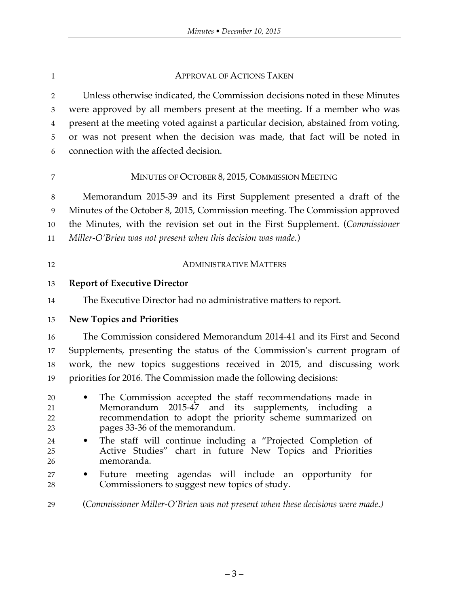#### **APPROVAL OF ACTIONS TAKEN**

 Unless otherwise indicated, the Commission decisions noted in these Minutes were approved by all members present at the meeting. If a member who was present at the meeting voted against a particular decision, abstained from voting, or was not present when the decision was made, that fact will be noted in connection with the affected decision.

#### MINUTES OF OCTOBER 8, 2015, COMMISSION MEETING

 Memorandum 2015-39 and its First Supplement presented a draft of the Minutes of the October 8, 2015, Commission meeting. The Commission approved the Minutes, with the revision set out in the First Supplement. (*Commissioner Miller-O'Brien was not present when this decision was made.*)

| 12 | <b>ADMINISTRATIVE MATTERS</b> |
|----|-------------------------------|
|    |                               |

#### **Report of Executive Director**

The Executive Director had no administrative matters to report.

**New Topics and Priorities**

 The Commission considered Memorandum 2014-41 and its First and Second Supplements, presenting the status of the Commission's current program of work, the new topics suggestions received in 2015, and discussing work priorities for 2016. The Commission made the following decisions:

- The Commission accepted the staff recommendations made in Memorandum 2015-47 and its supplements, including a recommendation to adopt the priority scheme summarized on pages 33-36 of the memorandum.
- The staff will continue including a "Projected Completion of Active Studies" chart in future New Topics and Priorities memoranda.
- Future meeting agendas will include an opportunity for Commissioners to suggest new topics of study.
- (*Commissioner Miller-O'Brien was not present when these decisions were made.)*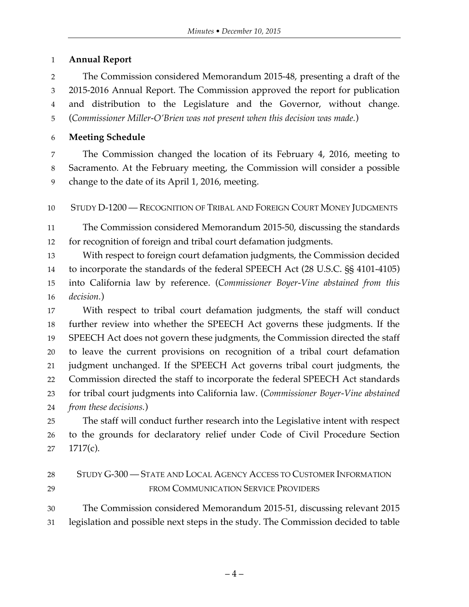## **Annual Report**

 The Commission considered Memorandum 2015-48, presenting a draft of the 2015-2016 Annual Report. The Commission approved the report for publication and distribution to the Legislature and the Governor, without change. (*Commissioner Miller-O'Brien was not present when this decision was made.*)

## **Meeting Schedule**

 The Commission changed the location of its February 4, 2016, meeting to Sacramento. At the February meeting, the Commission will consider a possible change to the date of its April 1, 2016, meeting.

STUDY D-1200 — RECOGNITION OF TRIBAL AND FOREIGN COURT MONEY JUDGMENTS

 The Commission considered Memorandum 2015-50, discussing the standards for recognition of foreign and tribal court defamation judgments.

 With respect to foreign court defamation judgments, the Commission decided to incorporate the standards of the federal SPEECH Act (28 U.S.C. §§ 4101-4105) into California law by reference. (*Commissioner Boyer-Vine abstained from this decision.*)

 With respect to tribal court defamation judgments, the staff will conduct further review into whether the SPEECH Act governs these judgments. If the SPEECH Act does not govern these judgments, the Commission directed the staff to leave the current provisions on recognition of a tribal court defamation judgment unchanged. If the SPEECH Act governs tribal court judgments, the Commission directed the staff to incorporate the federal SPEECH Act standards for tribal court judgments into California law. (*Commissioner Boyer-Vine abstained from these decisions.*)

 The staff will conduct further research into the Legislative intent with respect to the grounds for declaratory relief under Code of Civil Procedure Section 1717(c).

| 28 | STUDY G-300 — STATE AND LOCAL AGENCY ACCESS TO CUSTOMER INFORMATION |
|----|---------------------------------------------------------------------|
| 29 | FROM COMMUNICATION SERVICE PROVIDERS                                |

 The Commission considered Memorandum 2015-51, discussing relevant 2015 legislation and possible next steps in the study. The Commission decided to table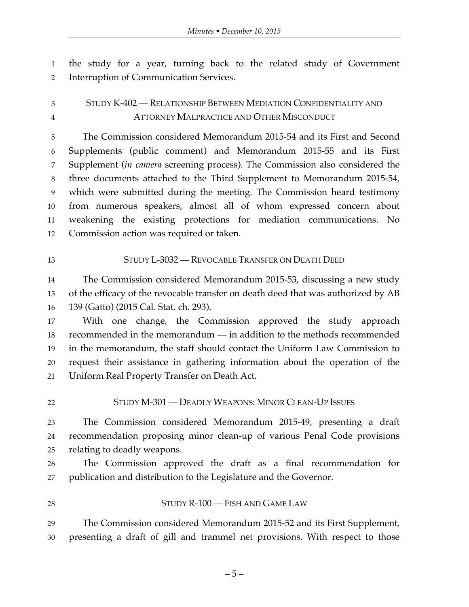the study for a year, turning back to the related study of Government Interruption of Communication Services.

## STUDY K-402 — RELATIONSHIP BETWEEN MEDIATION CONFIDENTIALITY AND ATTORNEY MALPRACTICE AND OTHER MISCONDUCT

 The Commission considered Memorandum 2015-54 and its First and Second Supplements (public comment) and Memorandum 2015-55 and its First Supplement (*in camera* screening process). The Commission also considered the three documents attached to the Third Supplement to Memorandum 2015-54, which were submitted during the meeting. The Commission heard testimony from numerous speakers, almost all of whom expressed concern about weakening the existing protections for mediation communications. No Commission action was required or taken.

#### STUDY L-3032 — REVOCABLE TRANSFER ON DEATH DEED

 The Commission considered Memorandum 2015-53, discussing a new study of the efficacy of the revocable transfer on death deed that was authorized by AB 139 (Gatto) (2015 Cal. Stat. ch. 293).

 With one change, the Commission approved the study approach recommended in the memorandum — in addition to the methods recommended in the memorandum, the staff should contact the Uniform Law Commission to request their assistance in gathering information about the operation of the Uniform Real Property Transfer on Death Act.

STUDY M-301 — DEADLY WEAPONS: MINOR CLEAN-UP ISSUES

 The Commission considered Memorandum 2015-49, presenting a draft recommendation proposing minor clean-up of various Penal Code provisions relating to deadly weapons.

 The Commission approved the draft as a final recommendation for publication and distribution to the Legislature and the Governor.

28 STUDY R-100 — FISH AND GAME LAW

 The Commission considered Memorandum 2015-52 and its First Supplement, presenting a draft of gill and trammel net provisions. With respect to those